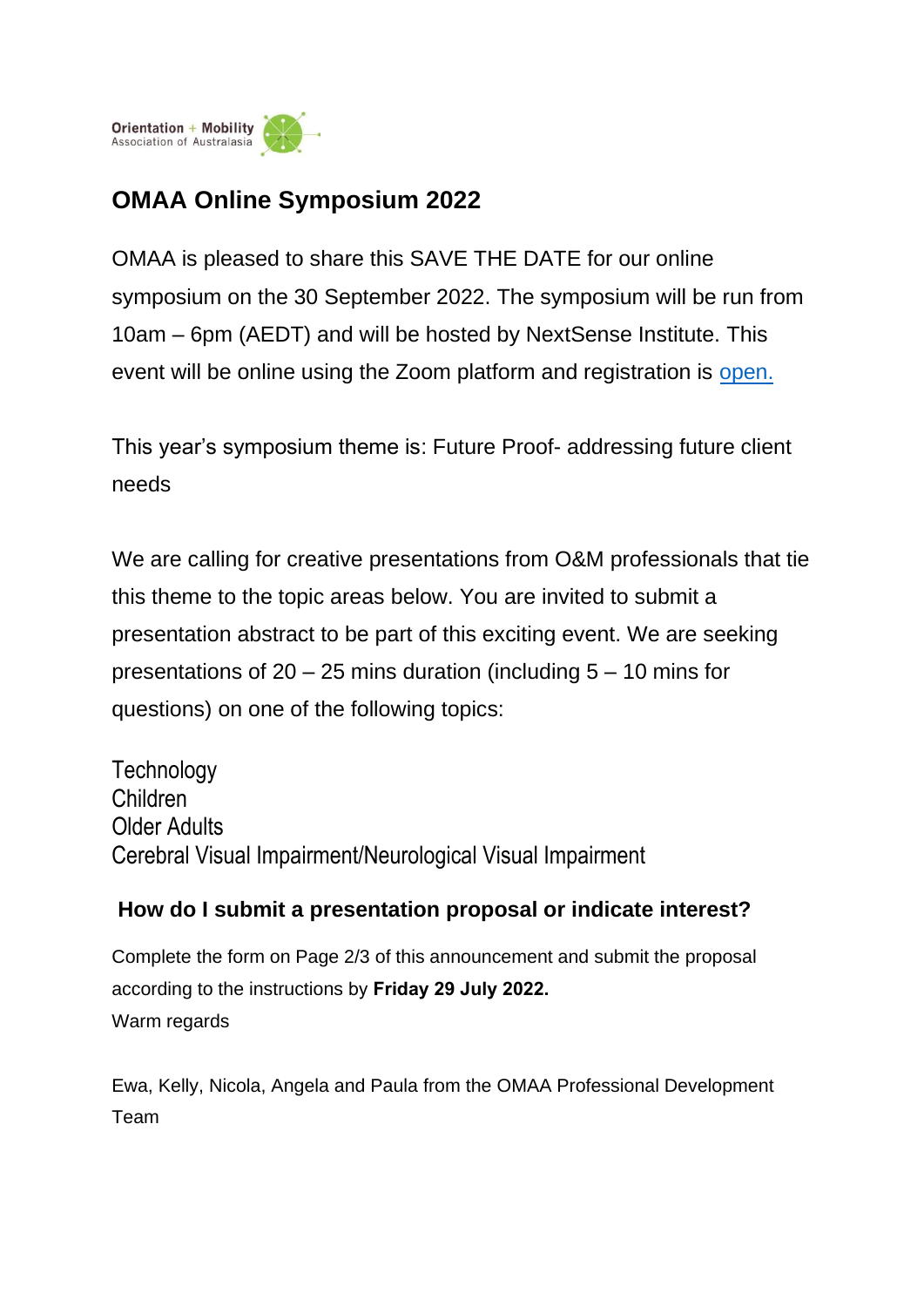

## **OMAA Online Symposium 2022**

OMAA is pleased to share this SAVE THE DATE for our online symposium on the 30 September 2022. The symposium will be run from 10am – 6pm (AEDT) and will be hosted by NextSense Institute. This event will be online using the Zoom platform and registration is open.

This year's symposium theme is: Future Proof- addressing future client needs

We are calling for creative presentations from O&M professionals that tie this theme to the topic areas below. You are invited to submit a presentation abstract to be part of this exciting event. We are seeking presentations of 20 – 25 mins duration (including 5 – 10 mins for questions) on one of the following topics:

**Technology** Children Older Adults Cerebral Visual Impairment/Neurological Visual Impairment

## **How do I submit a presentation proposal or indicate interest?**

Complete the form on Page 2/3 of this announcement and submit the proposal according to the instructions by **Friday 29 July 2022.** Warm regards

Ewa, Kelly, Nicola, Angela and Paula from the OMAA Professional Development Team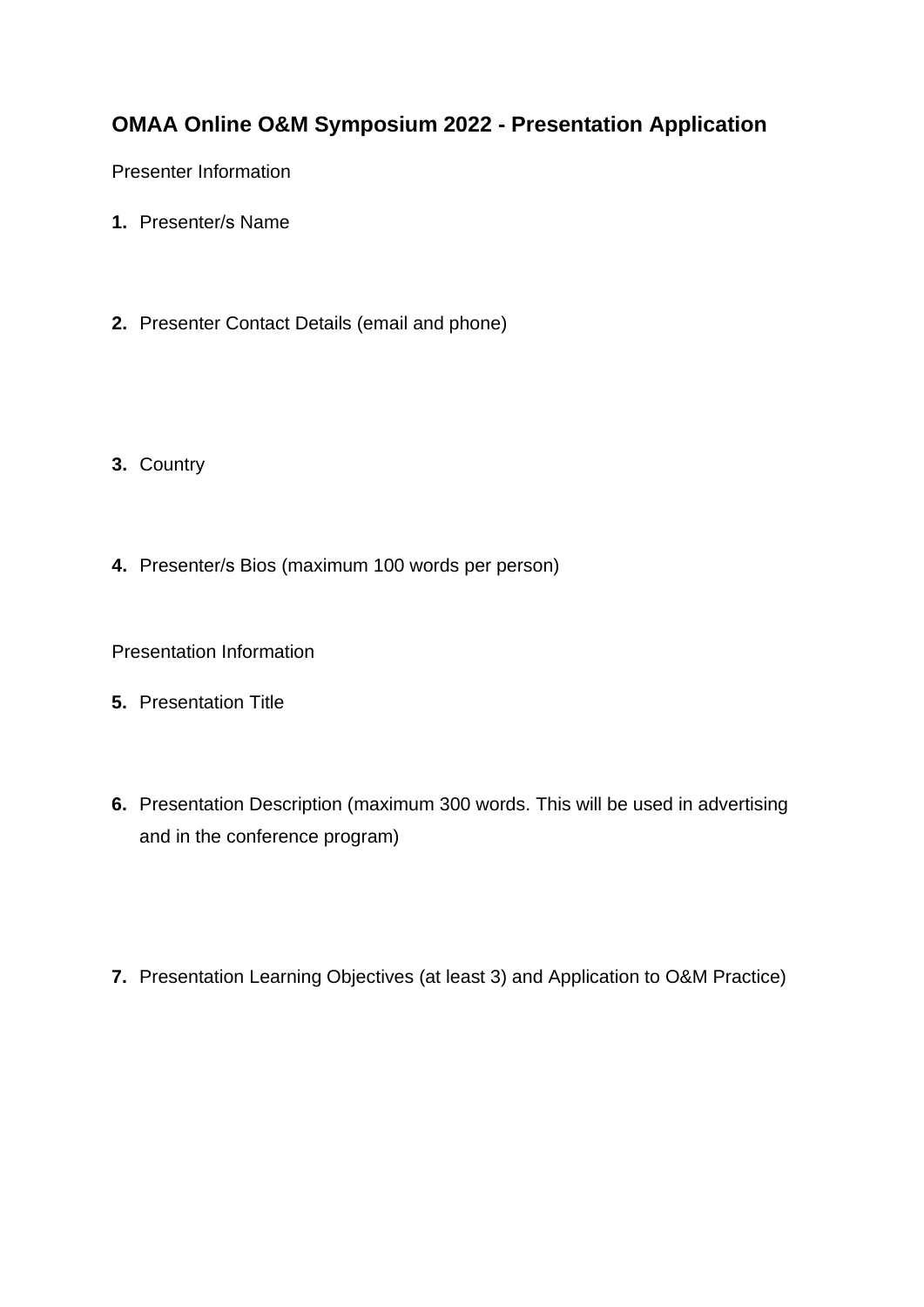## **OMAA Online O&M Symposium 2022 - Presentation Application**

Presenter Information

- **1.** Presenter/s Name
- **2.** Presenter Contact Details (email and phone)
- **3.** Country
- **4.** Presenter/s Bios (maximum 100 words per person)

Presentation Information

- **5.** Presentation Title
- **6.** Presentation Description (maximum 300 words. This will be used in advertising and in the conference program)
- **7.** Presentation Learning Objectives (at least 3) and Application to O&M Practice)